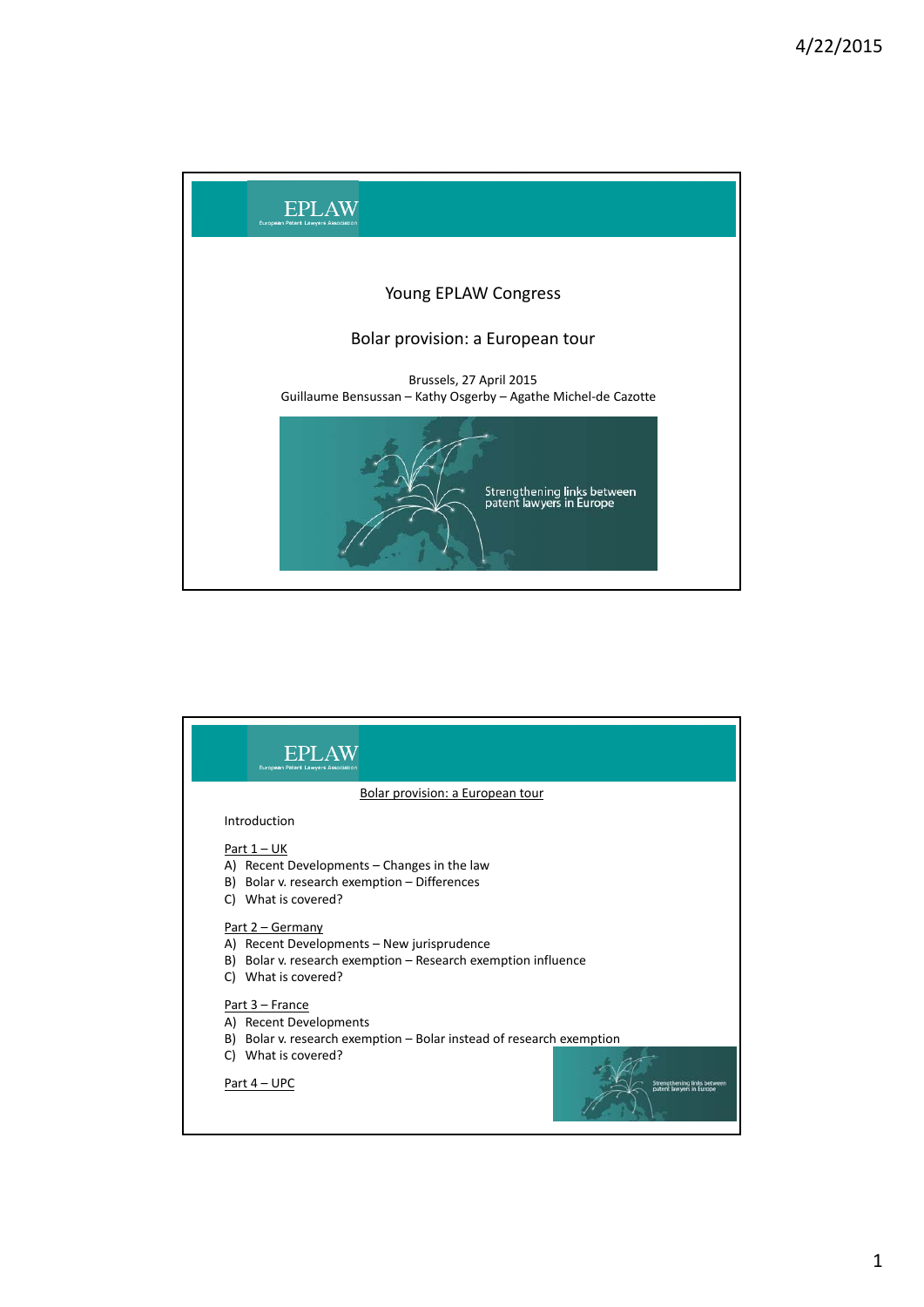

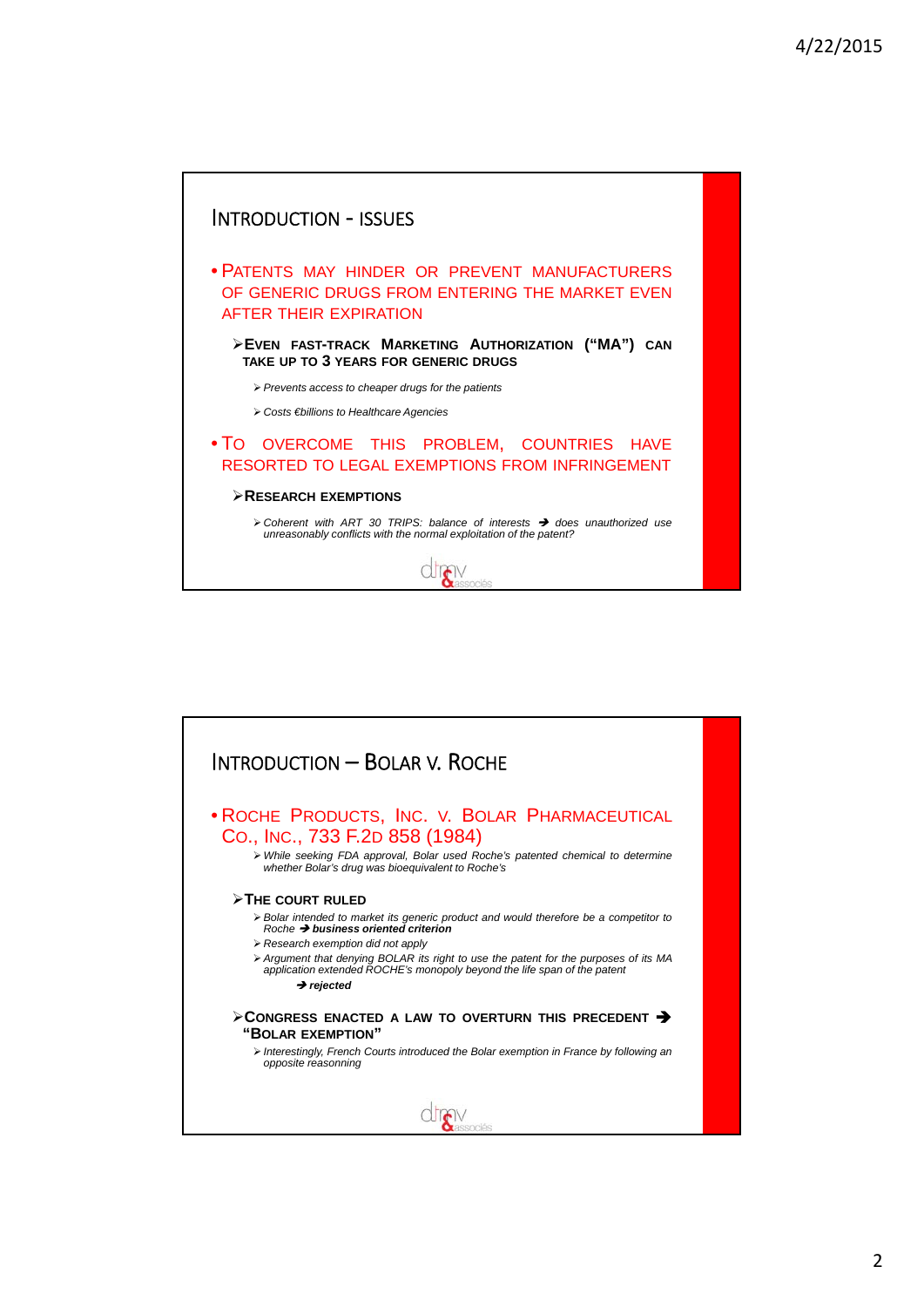

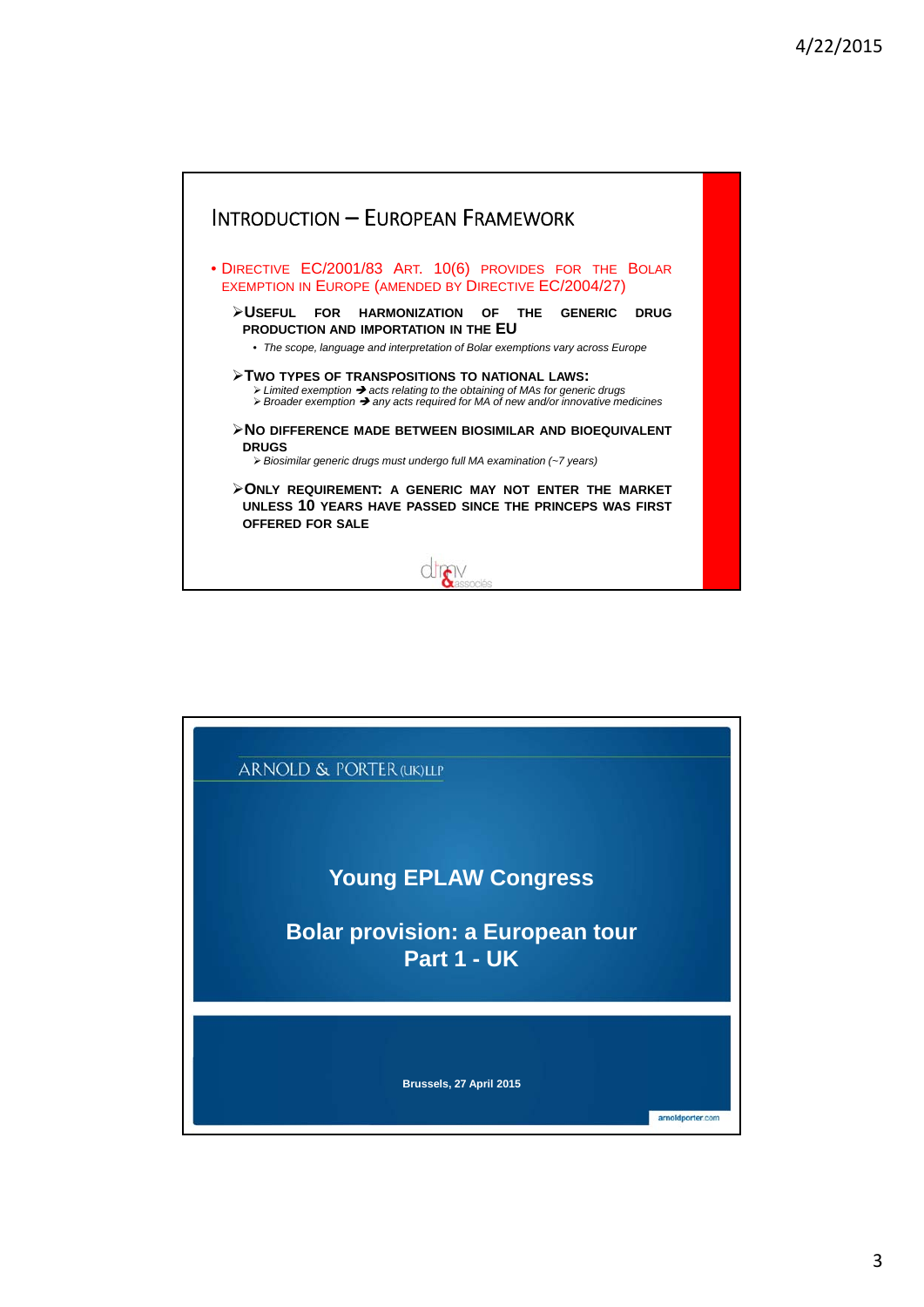

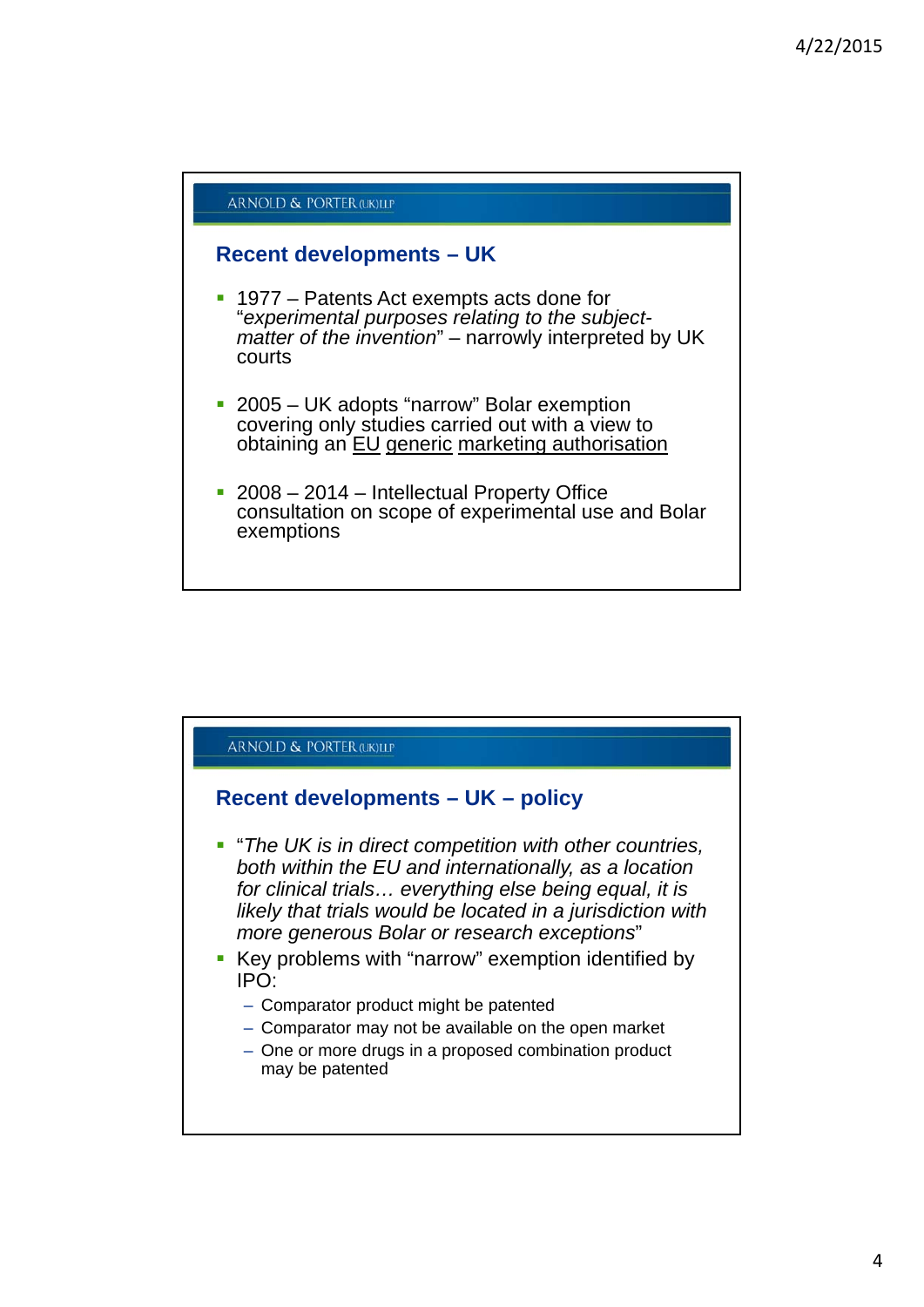

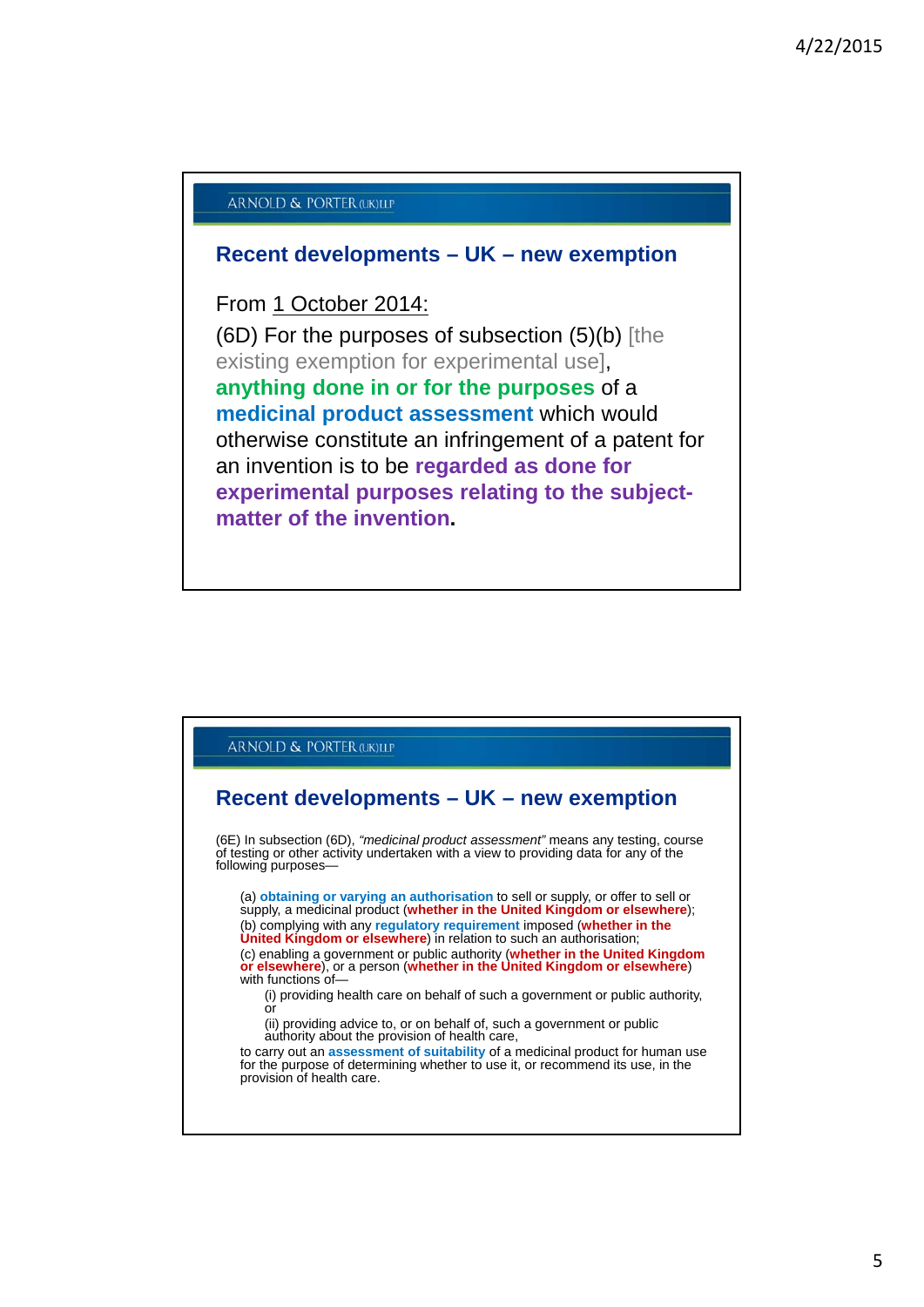## **ARNOLD & PORTER (LIK) LLP**

## **Recent developments – UK – new exemption**

## From 1 October 2014:

(6D) For the purposes of subsection (5)(b) [the existing exemption for experimental use], **anything done in or for the purposes** of a **medicinal product assessment** which would otherwise constitute an infringement of a patent for an invention is to be **regarded as done for experimental purposes relating to the subjectmatter of the invention.**

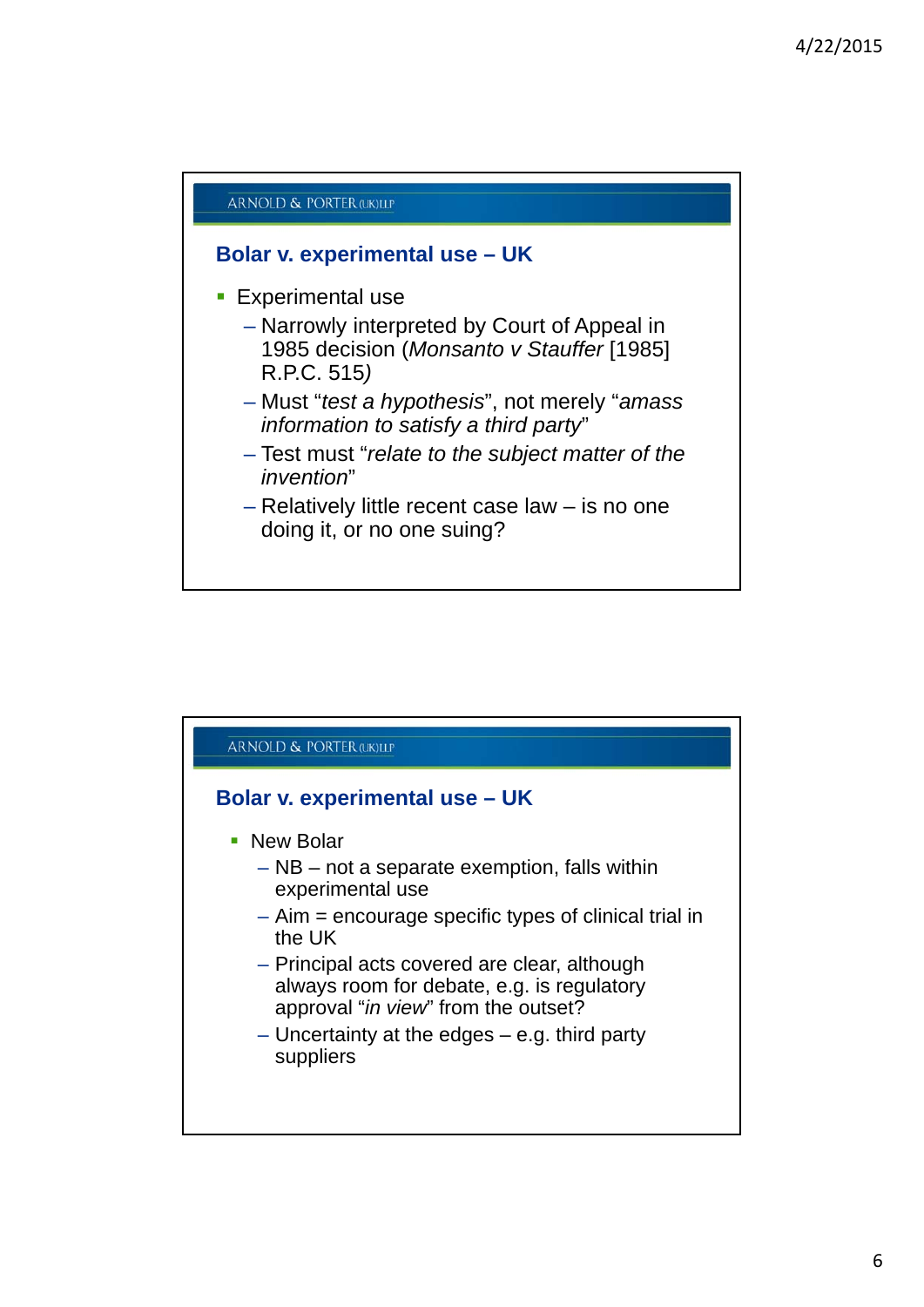

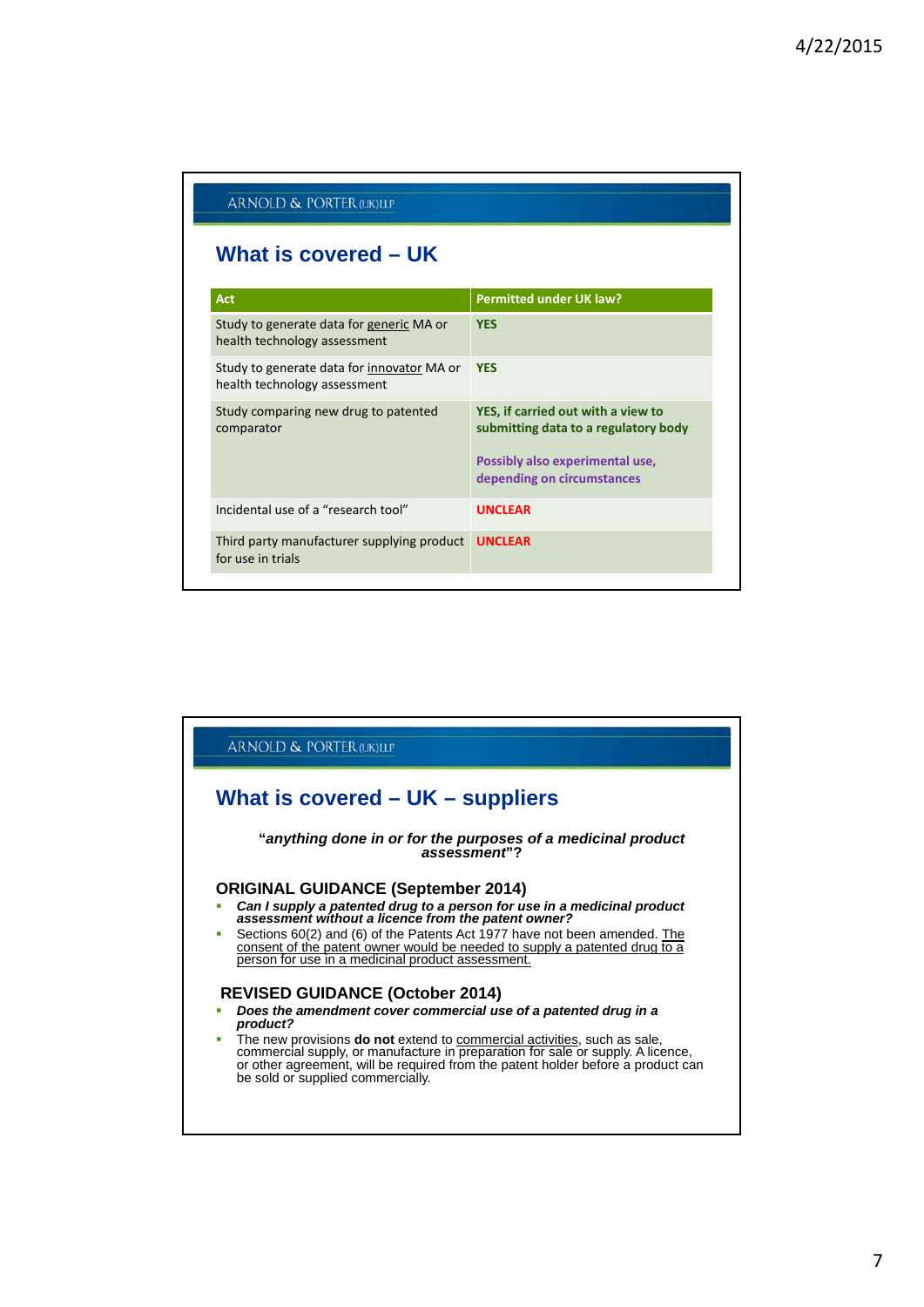| ARNOLD & PORTER (UK)LLP                                                           |                                                                                                                                             |  |  |
|-----------------------------------------------------------------------------------|---------------------------------------------------------------------------------------------------------------------------------------------|--|--|
| What is covered – UK                                                              |                                                                                                                                             |  |  |
| <b>Act</b>                                                                        | <b>Permitted under UK law?</b>                                                                                                              |  |  |
| Study to generate data for generic MA or<br>health technology assessment          | <b>YES</b>                                                                                                                                  |  |  |
| Study to generate data for <i>innovator</i> MA or<br>health technology assessment | <b>YES</b>                                                                                                                                  |  |  |
| Study comparing new drug to patented<br>comparator                                | YES, if carried out with a view to<br>submitting data to a regulatory body<br>Possibly also experimental use,<br>depending on circumstances |  |  |
| Incidental use of a "research tool"                                               | <b>UNCLEAR</b>                                                                                                                              |  |  |
| Third party manufacturer supplying product<br>for use in trials                   | <b>UNCLEAR</b>                                                                                                                              |  |  |

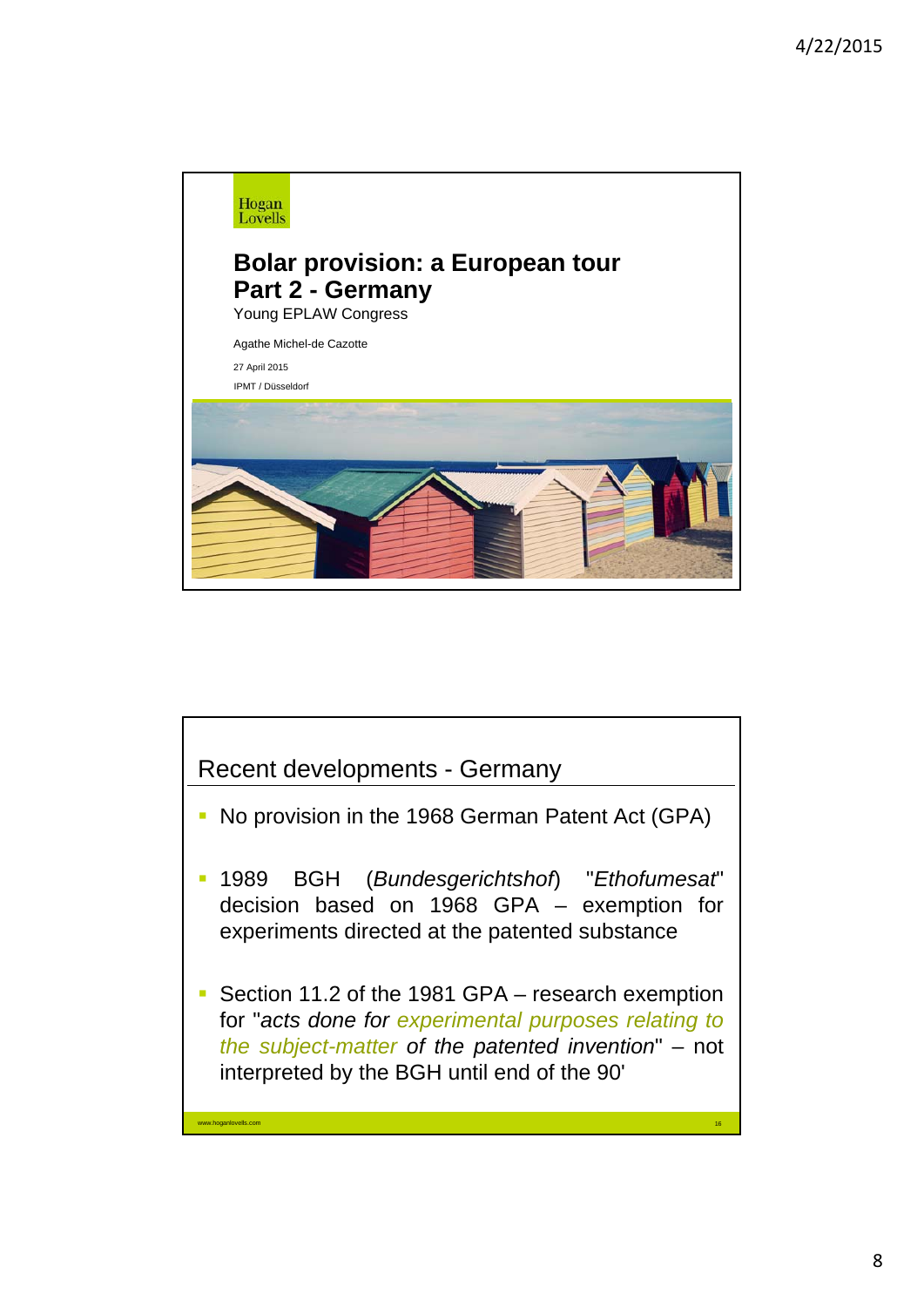

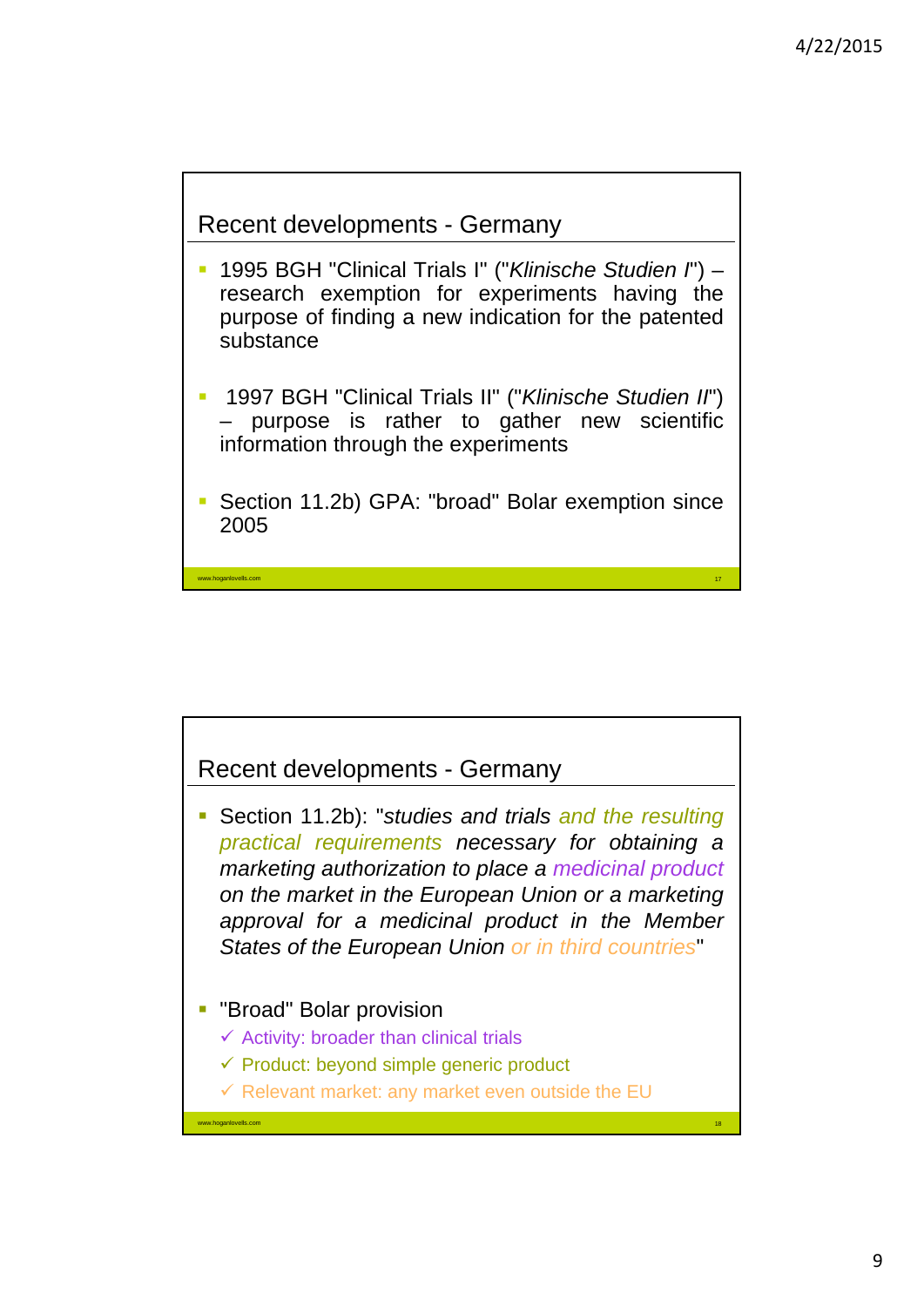17



www.hoganlovells.com

- 1995 BGH "Clinical Trials I" ("*Klinische Studien I*") research exemption for experiments having the purpose of finding a new indication for the patented substance
- 1997 BGH "Clinical Trials II" ("*Klinische Studien II*") – purpose is rather to gather new scientific information through the experiments
- Section 11.2b) GPA: "broad" Bolar exemption since 2005

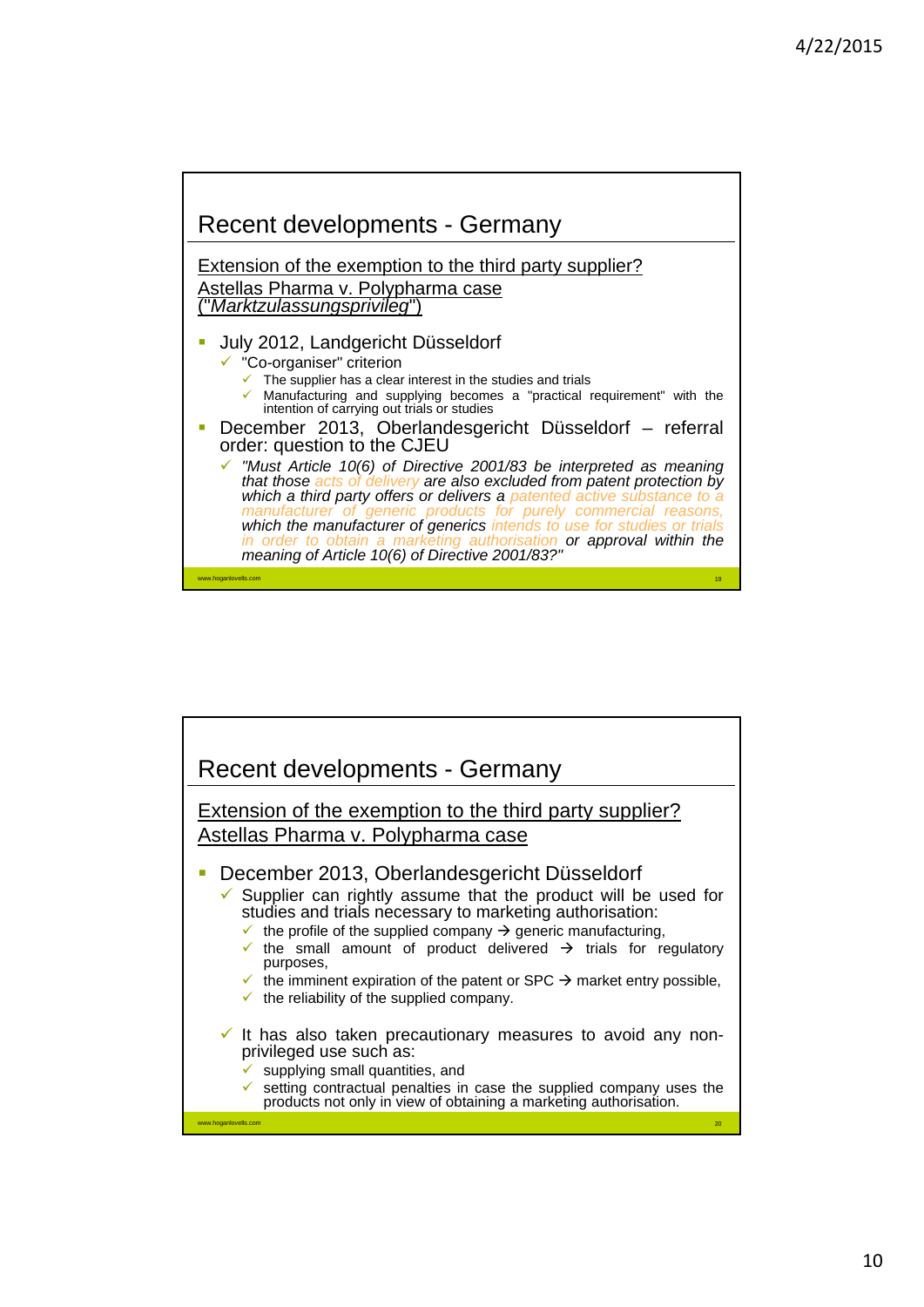

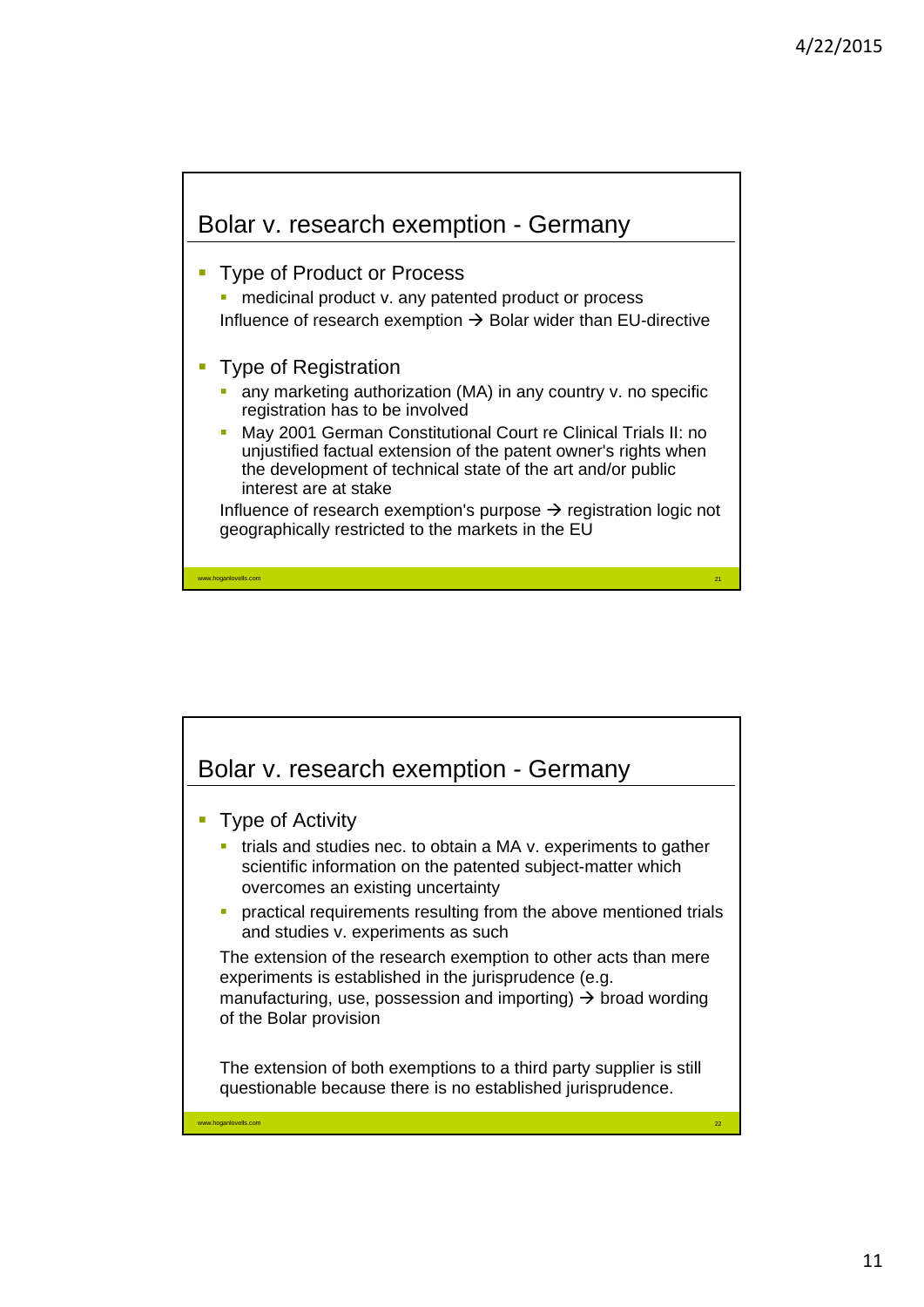

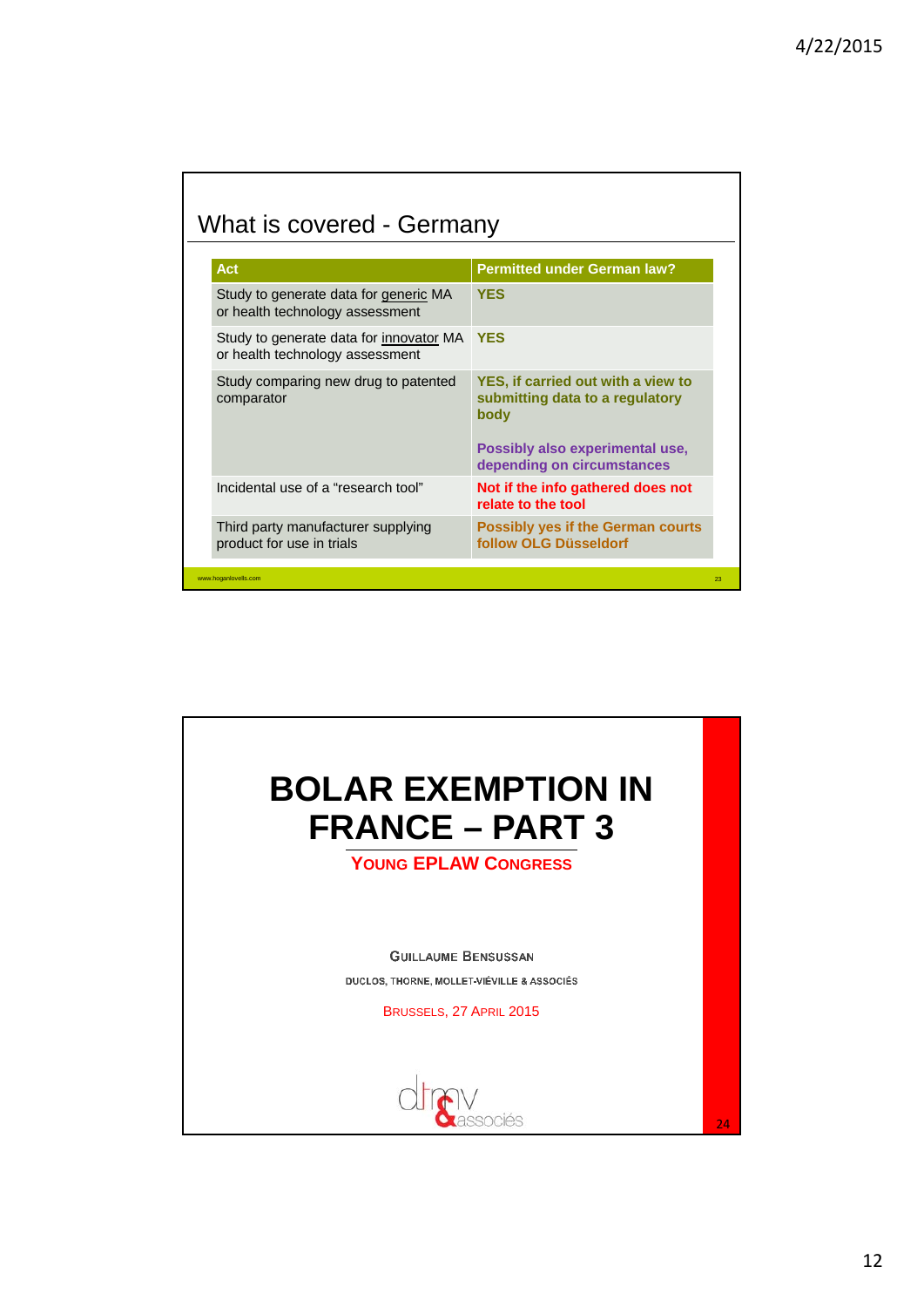| <b>Act</b>                                                                 | <b>Permitted under German law?</b>                                                                                                             |
|----------------------------------------------------------------------------|------------------------------------------------------------------------------------------------------------------------------------------------|
| Study to generate data for generic MA<br>or health technology assessment   | <b>YES</b>                                                                                                                                     |
| Study to generate data for innovator MA<br>or health technology assessment | <b>YES</b>                                                                                                                                     |
| Study comparing new drug to patented<br>comparator                         | YES, if carried out with a view to<br>submitting data to a regulatory<br>body<br>Possibly also experimental use,<br>depending on circumstances |
| Incidental use of a "research tool"                                        | Not if the info gathered does not<br>relate to the tool                                                                                        |
| Third party manufacturer supplying<br>product for use in trials            | <b>Possibly yes if the German courts</b><br>follow OLG Düsseldorf                                                                              |
| www.hoganlovells.com                                                       |                                                                                                                                                |

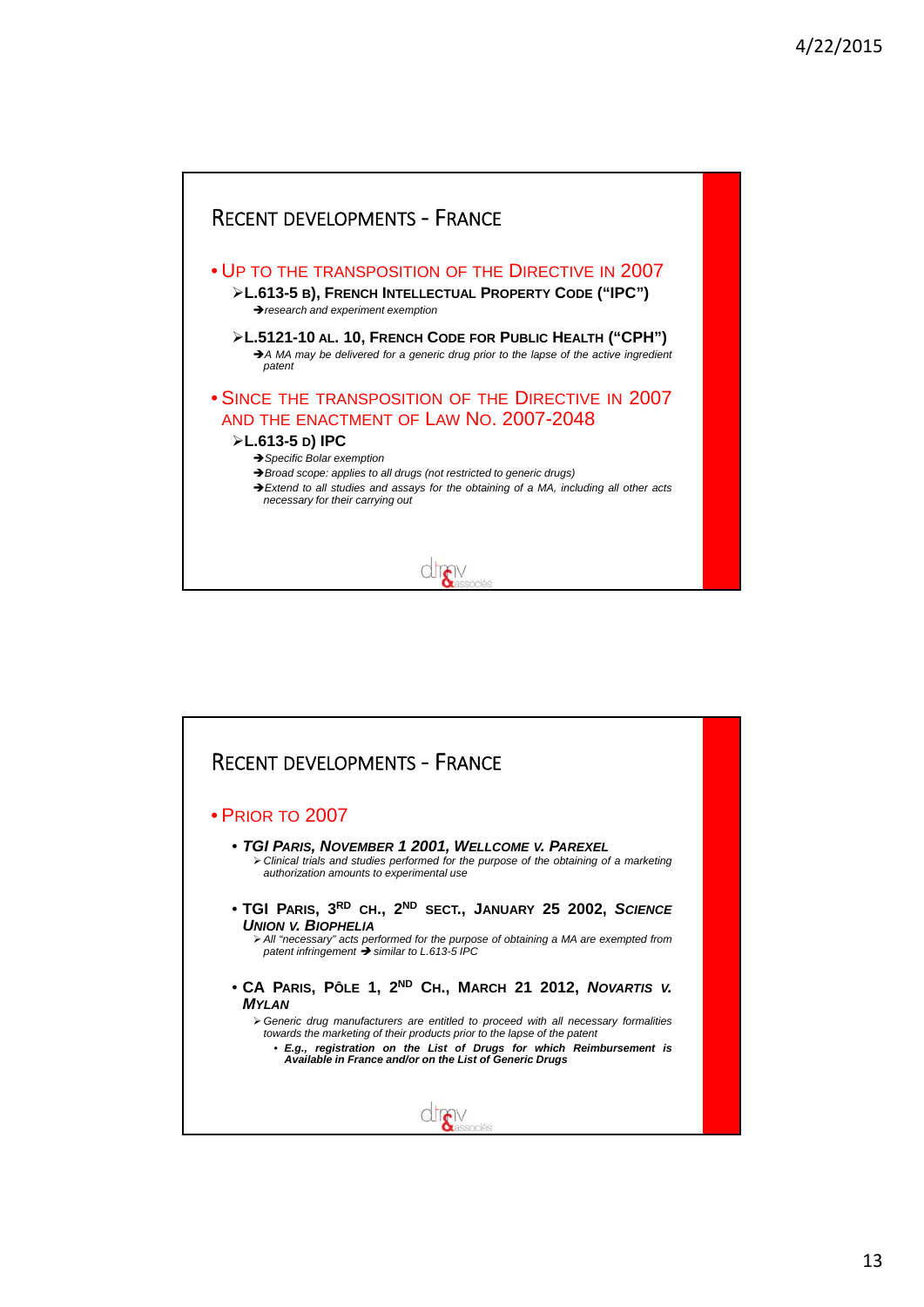

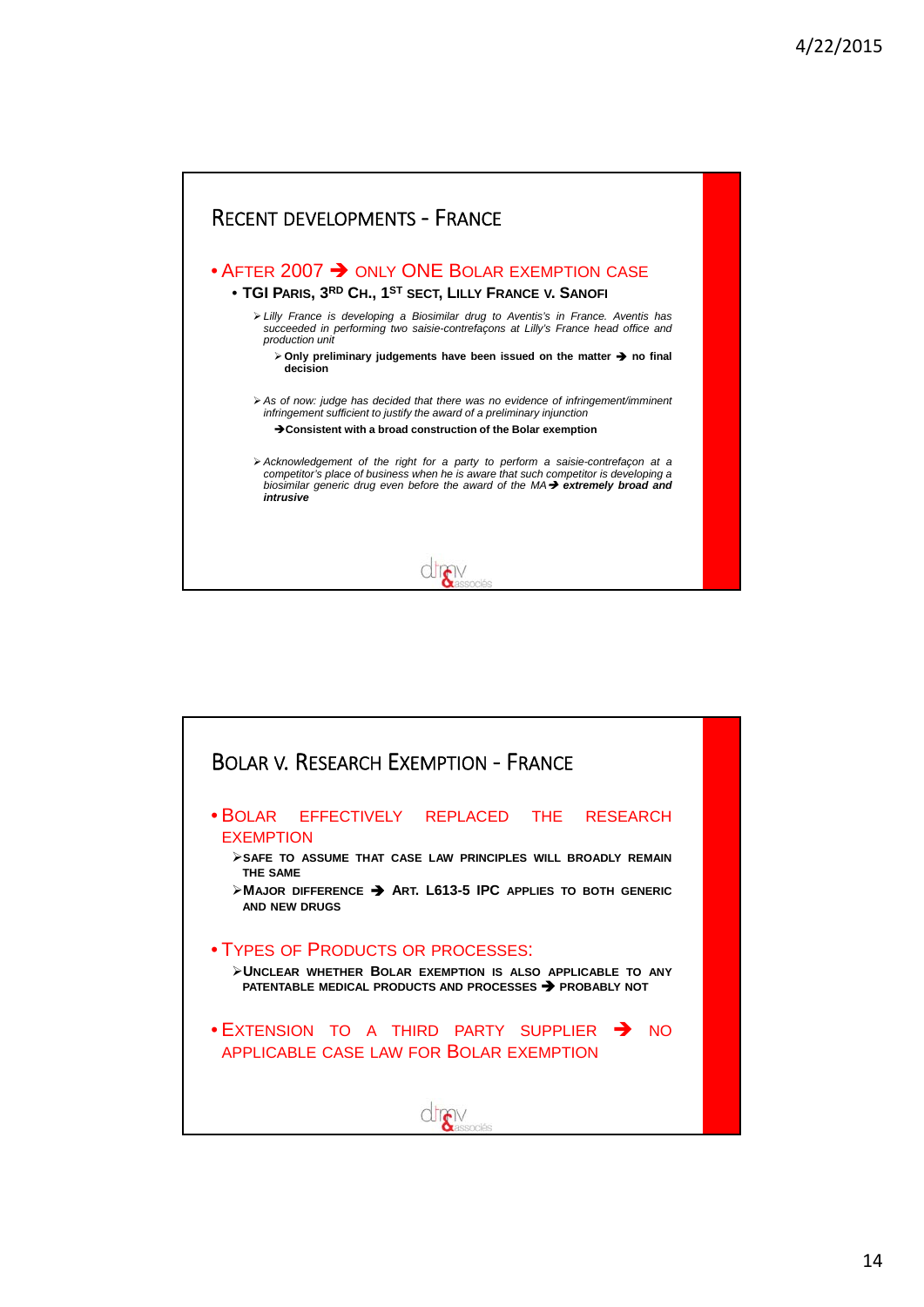

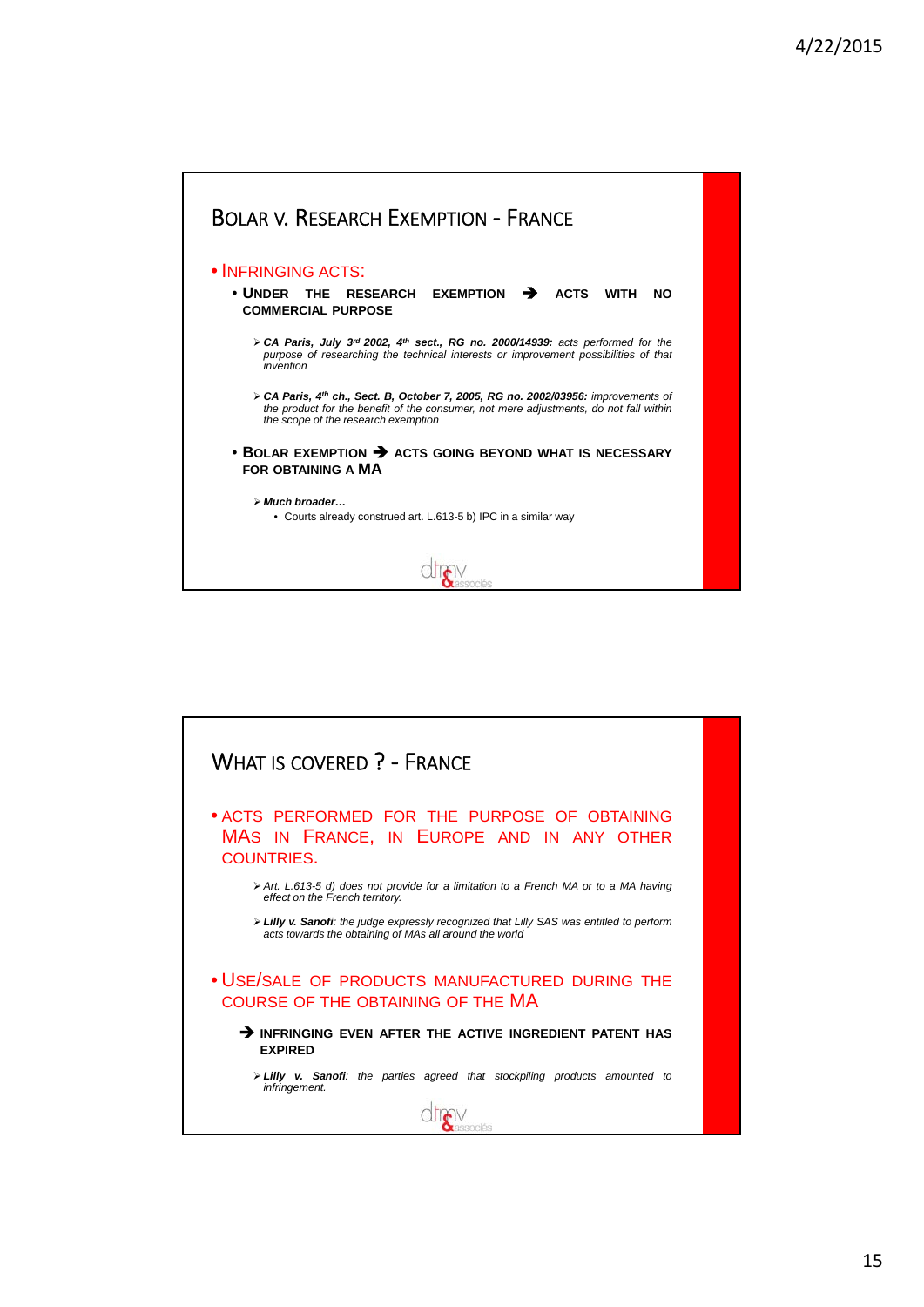

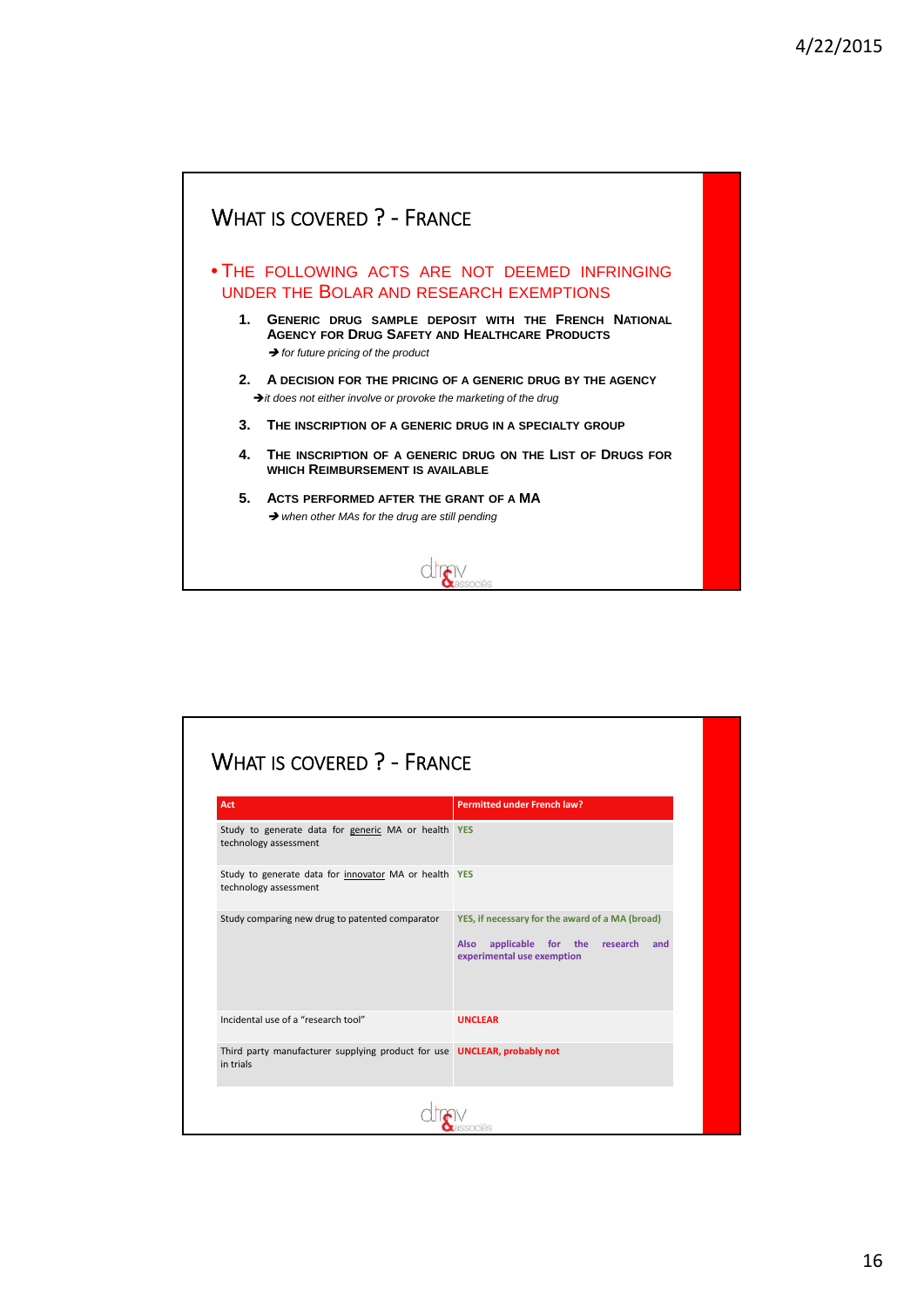

| Act                                                                                          | <b>Permitted under French law?</b>                                                                                              |
|----------------------------------------------------------------------------------------------|---------------------------------------------------------------------------------------------------------------------------------|
| Study to generate data for generic MA or health YES<br>technology assessment                 |                                                                                                                                 |
| Study to generate data for innovator MA or health YES<br>technology assessment               |                                                                                                                                 |
| Study comparing new drug to patented comparator                                              | YES, if necessary for the award of a MA (broad)<br>applicable for the research and<br><b>Also</b><br>experimental use exemption |
| Incidental use of a "research tool"                                                          | <b>UNCLEAR</b>                                                                                                                  |
| Third party manufacturer supplying product for use <b>UNCLEAR, probably not</b><br>in trials |                                                                                                                                 |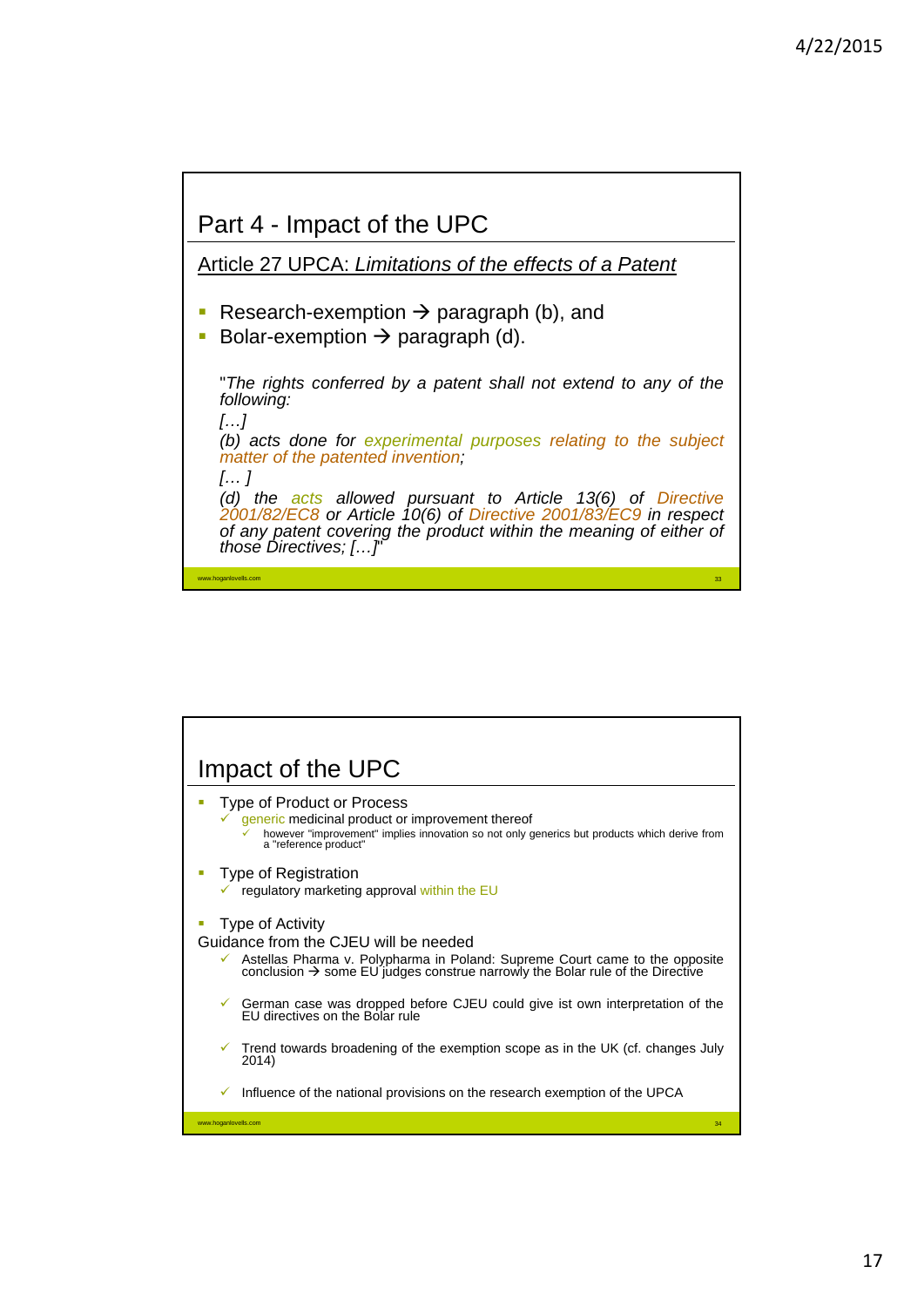

| Impact of the UPC                                                                                                                                                                                                                     |
|---------------------------------------------------------------------------------------------------------------------------------------------------------------------------------------------------------------------------------------|
| Type of Product or Process<br>generic medicinal product or improvement thereof<br>however "improvement" implies innovation so not only generics but products which derive from<br>✓<br>a "reference product"                          |
| Type of Registration<br>$\checkmark$ regulatory marketing approval within the EU                                                                                                                                                      |
| Type of Activity<br>Guidance from the CJEU will be needed<br>Astellas Pharma v. Polypharma in Poland: Supreme Court came to the opposite<br>conclusion $\rightarrow$ some EU judges construe narrowly the Bolar rule of the Directive |
| German case was dropped before CJEU could give ist own interpretation of the<br>FU directives on the Bolar rule                                                                                                                       |
| Trend towards broadening of the exemption scope as in the UK (cf. changes July<br>✓<br>2014)                                                                                                                                          |
| Influence of the national provisions on the research exemption of the UPCA<br>✓                                                                                                                                                       |
| www.hoganlovells.com<br>34                                                                                                                                                                                                            |